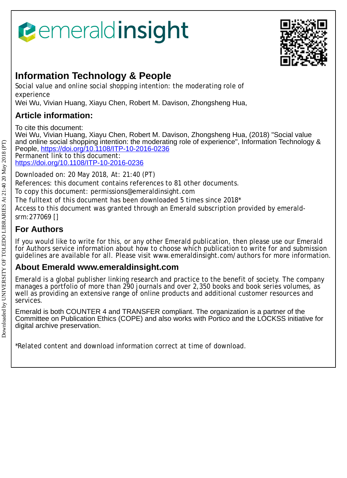# *<u><b>e*emeraldinsight</u>



## **Information Technology & People**

Social value and online social shopping intention: the moderating role of experience

Wei Wu, Vivian Huang, Xiayu Chen, Robert M. Davison, Zhongsheng Hua,

## **Article information:**

To cite this document:

Wei Wu, Vivian Huang, Xiayu Chen, Robert M. Davison, Zhongsheng Hua, (2018) "Social value and online social shopping intention: the moderating role of experience", Information Technology & People,<https://doi.org/10.1108/ITP-10-2016-0236> Permanent link to this document:

<https://doi.org/10.1108/ITP-10-2016-0236>

Downloaded on: 20 May 2018, At: 21:40 (PT)

References: this document contains references to 81 other documents.

To copy this document: permissions@emeraldinsight.com

The fulltext of this document has been downloaded 5 times since 2018\*

Access to this document was granted through an Emerald subscription provided by emeraldsrm:277069 []

## **For Authors**

If you would like to write for this, or any other Emerald publication, then please use our Emerald for Authors service information about how to choose which publication to write for and submission guidelines are available for all. Please visit www.emeraldinsight.com/authors for more information.

### **About Emerald www.emeraldinsight.com**

Emerald is a global publisher linking research and practice to the benefit of society. The company manages a portfolio of more than 290 journals and over 2,350 books and book series volumes, as well as providing an extensive range of online products and additional customer resources and services.

Emerald is both COUNTER 4 and TRANSFER compliant. The organization is a partner of the Committee on Publication Ethics (COPE) and also works with Portico and the LOCKSS initiative for digital archive preservation.

\*Related content and download information correct at time of download.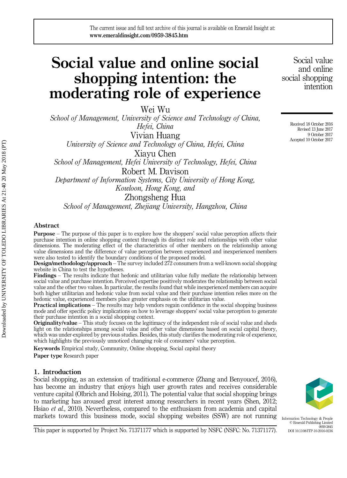The current issue and full text archive of this journal is available on Emerald Insight at: www.emeraldinsight.com/0959-3845.htm

## Social value and online social shopping intention: the moderating role of experience

Wei Wu

School of Management, University of Science and Technology of China, Hefei, China

Vivian Huang University of Science and Technology of China, Hefei, China Xiayu Chen School of Management, Hefei University of Technology, Hefei, China Robert M. Davison

Department of Information Systems, City University of Hong Kong, Kowloon, Hong Kong, and

Zhongsheng Hua School of Management, Zhejiang University, Hangzhou, China

#### Abstract

Purpose – The purpose of this paper is to explore how the shoppers' social value perception affects their purchase intention in online shopping context through its distinct role and relationships with other value dimensions. The moderating effect of the characteristics of other members on the relationship among value dimensions and the difference of value perception between experienced and inexperienced members were also tested to identify the boundary conditions of the proposed model.

Design/methodology/approach – The survey included 272 consumers from a well-known social shopping website in China to test the hypotheses.

Findings – The results indicate that hedonic and utilitarian value fully mediate the relationship between social value and purchase intention. Perceived expertise positively moderates the relationship between social value and the other two values. In particular, the results found that while inexperienced members can acquire both higher utilitarian and hedonic value from social value and their purchase intention relies more on the hedonic value, experienced members place greater emphasis on the utilitarian value.

Practical implications - The results may help vendors regain confidence in the social shopping business mode and offer specific policy implications on how to leverage shoppers' social value perception to generate their purchase intention in a social shopping context.

**Originality/value** – This study focuses on the legitimacy of the independent role of social value and sheds light on the relationships among social value and other value dimensions based on social capital theory, which was under-explored by previous studies. Besides, this study clarifies the moderating role of experience, which highlights the previously unnoticed changing role of consumers' value perception.

Keywords Empirical study, Community, Online shopping, Social capital theory

Paper type Research paper

#### 1. Introduction

Social shopping, as an extension of traditional e-commerce (Zhang and Benyoucef, 2016), has become an industry that enjoys high user growth rates and receives considerable venture capital (Olbrich and Holsing, 2011). The potential value that social shopping brings to marketing has aroused great interest among researchers in recent years (Shen, 2012; Hsiao *et al.*, 2010). Nevertheless, compared to the enthusiasm from academia and capital markets toward this business mode, social shopping websites (SSW) are not running



© Emerald Publishing Limited 0959-3845 DOI 10.1108/ITP-10-2016-0236

Social value and online social shopping intention

> Received 18 October 2016 Revised 13 June 2017 9 October 2017 Accepted 10 October 2017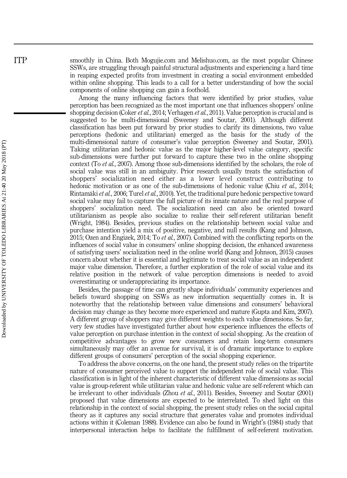smoothly in China. Both Mogujie.com and Melishuo.com, as the most popular Chinese SSWs, are struggling through painful structural adjustments and experiencing a hard time in reaping expected profits from investment in creating a social environment embedded within online shopping. This leads to a call for a better understanding of how the social components of online shopping can gain a foothold.

Among the many influencing factors that were identified by prior studies, value perception has been recognized as the most important one that influences shoppers' online shopping decision (Coker *et al.*, 2014; Verhagen *et al.*, 2011). Value perception is crucial and is suggested to be multi-dimensional (Sweeney and Soutar, 2001). Although different classification has been put forward by prior studies to clarify its dimensions, two value perceptions (hedonic and utilitarian) emerged as the basis for the study of the multi-dimensional nature of consumer's value perception (Sweeney and Soutar, 2001). Taking utilitarian and hedonic value as the major higher-level value category, specific sub-dimensions were further put forward to capture these two in the online shopping context (To et al., 2007). Among those sub-dimensions identified by the scholars, the role of social value was still in an ambiguity. Prior research usually treats the satisfaction of shoppers' socialization need either as a lower level construct contributing to hedonic motivation or as one of the sub-dimensions of hedonic value (Chiu et al., 2014; Rintamäki et al., 2006; Turel et al., 2010). Yet, the traditional pure hedonic perspective toward social value may fail to capture the full picture of its innate nature and the real purpose of shoppers' socialization need. The socialization need can also be oriented toward utilitarianism as people also socialize to realize their self-referent utilitarian benefit (Wright, 1984). Besides, previous studies on the relationship between social value and purchase intention yield a mix of positive, negative, and null results (Kang and Johnson, 2015; Ozen and Engizek, 2014; To et al., 2007). Combined with the conflicting reports on the influences of social value in consumers' online shopping decision, the enhanced awareness of satisfying users' socialization need in the online world (Kang and Johnson, 2015) causes concern about whether it is essential and legitimate to treat social value as an independent major value dimension. Therefore, a further exploration of the role of social value and its relative position in the network of value perception dimensions is needed to avoid overestimating or underappreciating its importance.

Besides, the passage of time can greatly shape individuals' community experiences and beliefs toward shopping on SSWs as new information sequentially comes in. It is noteworthy that the relationship between value dimensions and consumers' behavioral decision may change as they become more experienced and mature (Gupta and Kim, 2007). A different group of shoppers may give different weights to each value dimensions. So far, very few studies have investigated further about how experience influences the effects of value perception on purchase intention in the context of social shopping. As the creation of competitive advantages to grow new consumers and retain long-term consumers simultaneously may offer an avenue for survival, it is of dramatic importance to explore different groups of consumers' perception of the social shopping experience.

To address the above concerns, on the one hand, the present study relies on the tripartite nature of consumer perceived value to support the independent role of social value. This classification is in light of the inherent characteristic of different value dimensions as social value is group-referent while utilitarian value and hedonic value are self-referent which can be irrelevant to other individuals (Zhou et al., 2011). Besides, Sweeney and Soutar (2001) proposed that value dimensions are expected to be interrelated. To shed light on this relationship in the context of social shopping, the present study relies on the social capital theory as it captures any social structure that generates value and promotes individual actions within it (Coleman 1988). Evidence can also be found in Wright's (1984) study that interpersonal interaction helps to facilitate the fulfillment of self-referent motivation.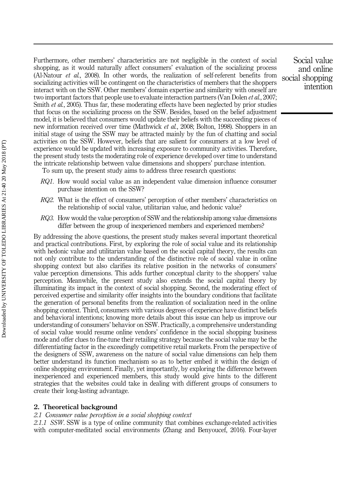Furthermore, other members' characteristics are not negligible in the context of social shopping, as it would naturally affect consumers' evaluation of the socializing process (Al-Natour et al., 2008). In other words, the realization of self-referent benefits from socializing activities will be contingent on the characteristics of members that the shoppers interact with on the SSW. Other members' domain expertise and similarity with oneself are two important factors that people use to evaluate interaction partners (Van Dolen *et al.*, 2007; Smith *et al.*, 2005). Thus far, these moderating effects have been neglected by prior studies that focus on the socializing process on the SSW. Besides, based on the belief adjustment model, it is believed that consumers would update their beliefs with the succeeding pieces of new information received over time (Mathwick et al., 2008; Bolton, 1998). Shoppers in an initial stage of using the SSW may be attracted mainly by the fun of chatting and social activities on the SSW. However, beliefs that are salient for consumers at a low level of experience would be updated with increasing exposure to community activities. Therefore, the present study tests the moderating role of experience developed over time to understand the intricate relationship between value dimensions and shoppers' purchase intention.

To sum up, the present study aims to address three research questions:

- RQ1. How would social value as an independent value dimension influence consumer purchase intention on the SSW?
- RQ2. What is the effect of consumers' perception of other members' characteristics on the relationship of social value, utilitarian value, and hedonic value?
- RQ3. How would the value perception of SSW and the relationship among value dimensions differ between the group of inexperienced members and experienced members?

By addressing the above questions, the present study makes several important theoretical and practical contributions. First, by exploring the role of social value and its relationship with hedonic value and utilitarian value based on the social capital theory, the results can not only contribute to the understanding of the distinctive role of social value in online shopping context but also clarifies its relative position in the networks of consumers' value perception dimensions. This adds further conceptual clarity to the shoppers' value perception. Meanwhile, the present study also extends the social capital theory by illuminating its impact in the context of social shopping. Second, the moderating effect of perceived expertise and similarity offer insights into the boundary conditions that facilitate the generation of personal benefits from the realization of socialization need in the online shopping context. Third, consumers with various degrees of experience have distinct beliefs and behavioral intentions; knowing more details about this issue can help us improve our understanding of consumers' behavior on SSW. Practically, a comprehensive understanding of social value would resume online vendors' confidence in the social shopping business mode and offer clues to fine-tune their retailing strategy because the social value may be the differentiating factor in the exceedingly competitive retail markets. From the perspective of the designers of SSW, awareness on the nature of social value dimensions can help them better understand its function mechanism so as to better embed it within the design of online shopping environment. Finally, yet importantly, by exploring the difference between inexperienced and experienced members, this study would give hints to the different strategies that the websites could take in dealing with different groups of consumers to create their long-lasting advantage.

#### 2. Theoretical background

#### 2.1 Consumer value perception in a social shopping context

2.1.1 SSW. SSW is a type of online community that combines exchange-related activities with computer-meditated social environments (Zhang and Benyoucef, 2016). Four-layer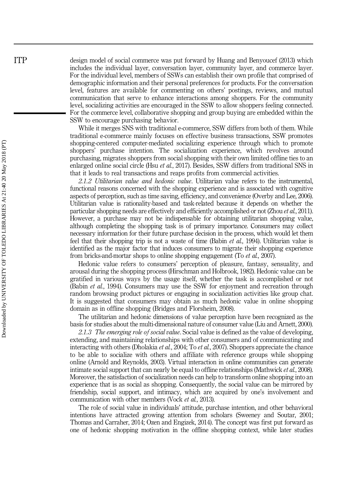design model of social commerce was put forward by Huang and Benyoucef (2013) which includes the individual layer, conversation layer, community layer, and commerce layer. For the individual level, members of SSWs can establish their own profile that comprised of demographic information and their personal preferences for products. For the conversation level, features are available for commenting on others' postings, reviews, and mutual communication that serve to enhance interactions among shoppers. For the community level, socializing activities are encouraged in the SSW to allow shoppers feeling connected. For the commerce level, collaborative shopping and group buying are embedded within the SSW to encourage purchasing behavior.

While it merges SNS with traditional e-commerce, SSW differs from both of them. While traditional e-commerce mainly focuses on effective business transactions, SSW promotes shopping-centered computer-mediated socializing experience through which to promote shoppers' purchase intention. The socialization experience, which revolves around purchasing, migrates shoppers from social shopping with their own limited offline ties to an enlarged online social circle (Hsu *et al.*, 2017). Besides, SSW differs from traditional SNS in that it leads to real transactions and reaps profits from commercial activities.

2.1.2 Utilitarian value and hedonic value. Utilitarian value refers to the instrumental, functional reasons concerned with the shopping experience and is associated with cognitive aspects of perception, such as time saving, efficiency, and convenience (Overby and Lee, 2006). Utilitarian value is rationality-based and task-related because it depends on whether the particular shopping needs are effectively and efficiently accomplished or not (Zhou et al., 2011). However, a purchase may not be indispensable for obtaining utilitarian shopping value, although completing the shopping task is of primary importance. Consumers may collect necessary information for their future purchase decision in the process, which would let them feel that their shopping trip is not a waste of time (Babin et al., 1994). Utilitarian value is identified as the major factor that induces consumers to migrate their shopping experience from bricks-and-mortar shops to online shopping engagement (To et al., 2007).

Hedonic value refers to consumers' perception of pleasure, fantasy, sensuality, and arousal during the shopping process (Hirschman and Holbrook, 1982). Hedonic value can be gratified in various ways by the usage itself, whether the task is accomplished or not (Babin et al., 1994). Consumers may use the SSW for enjoyment and recreation through random browsing product pictures or engaging in socialization activities like group chat. It is suggested that consumers may obtain as much hedonic value in online shopping domain as in offline shopping (Bridges and Florsheim, 2008).

The utilitarian and hedonic dimensions of value perception have been recognized as the basis for studies about the multi-dimensional nature of consumer value (Liu and Arnett, 2000).

2.1.3 The emerging role of social value. Social value is defined as the value of developing, extending, and maintaining relationships with other consumers and of communicating and interacting with others (Dholakia et al., 2004; To et al., 2007). Shoppers appreciate the chance to be able to socialize with others and affiliate with reference groups while shopping online (Arnold and Reynolds, 2003). Virtual interaction in online communities can generate intimate social support that can nearly be equal to offline relationships (Mathwick et al., 2008). Moreover, the satisfaction of socialization needs can help to transform online shopping into an experience that is as social as shopping. Consequently, the social value can be mirrored by friendship, social support, and intimacy, which are acquired by one's involvement and communication with other members (Vock et al., 2013).

The role of social value in individuals' attitude, purchase intention, and other behavioral intentions have attracted growing attention from scholars (Sweeney and Soutar, 2001; Thomas and Carraher, 2014; Ozen and Engizek, 2014). The concept was first put forward as one of hedonic shopping motivation in the offline shopping context, while later studies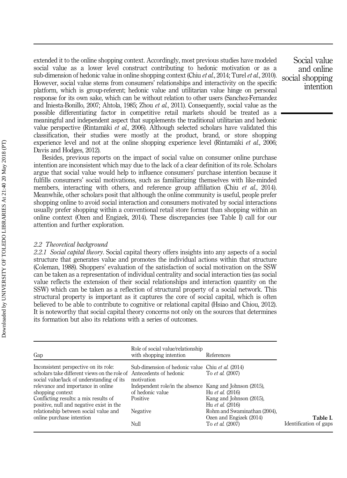extended it to the online shopping context. Accordingly, most previous studies have modeled social value as a lower level construct contributing to hedonic motivation or as a sub-dimension of hedonic value in online shopping context (Chiu *et al.*, 2014; Turel *et al.*, 2010). However, social value stems from consumers' relationships and interactivity on the specific platform, which is group-referent; hedonic value and utilitarian value hinge on personal response for its own sake, which can be without relation to other users (Sanchez-Fernandez and Iniesta-Bonillo, 2007; Ahtola, 1985; Zhou et al., 2011). Consequently, social value as the possible differentiating factor in competitive retail markets should be treated as a meaningful and independent aspect that supplements the traditional utilitarian and hedonic value perspective (Rintamäki et al., 2006). Although selected scholars have validated this classification, their studies were mostly at the product, brand, or store shopping experience level and not at the online shopping experience level (Rintamäki et al., 2006; Davis and Hodges, 2012).

Besides, previous reports on the impact of social value on consumer online purchase intention are inconsistent which may due to the lack of a clear definition of its role. Scholars argue that social value would help to influence consumers' purchase intention because it fulfills consumers' social motivations, such as familiarizing themselves with like-minded members, interacting with others, and reference group affiliation (Chiu *et al.*, 2014). Meanwhile, other scholars posit that although the online community is useful, people prefer shopping online to avoid social interaction and consumers motivated by social interactions usually prefer shopping within a conventional retail store format than shopping within an online context (Ozen and Engizek, 2014). These discrepancies (see Table I) call for our attention and further exploration.

#### 2.2 Theoretical background

2.2.1 Social capital theory. Social capital theory offers insights into any aspects of a social structure that generates value and promotes the individual actions within that structure (Coleman, 1988). Shoppers' evaluation of the satisfaction of social motivation on the SSW can be taken as a representation of individual centrality and social interaction ties (as social value reflects the extension of their social relationships and interaction quantity on the SSW) which can be taken as a reflection of structural property of a social network. This structural property is important as it captures the core of social capital, which is often believed to be able to contribute to cognitive or relational capital (Hsiao and Chiou, 2012). It is noteworthy that social capital theory concerns not only on the sources that determines its formation but also its relations with a series of outcomes.

| Gap                                                                                                                                                       | Role of social value/relationship<br>with shopping intention                                    | References                                                                  |                                    |
|-----------------------------------------------------------------------------------------------------------------------------------------------------------|-------------------------------------------------------------------------------------------------|-----------------------------------------------------------------------------|------------------------------------|
| Inconsistent perspective on its role:<br>scholars take different views on the role of Antecedents of hedonic<br>social value/lack of understanding of its | Sub-dimension of hedonic value Chiu et al. (2014)<br>motivation                                 | To <i>et al.</i> (2007)                                                     |                                    |
| relevance and importance in online<br>shopping context<br>Conflicting results: a mix results of<br>positive, null and negative exist in the               | Independent role/in the absence Kang and Johnson (2015),<br>of hedonic value<br><b>Positive</b> | Hu et al. (2016)<br>Kang and Johnson (2015).<br>Hu et al. (2016)            |                                    |
| relationship between social value and<br>online purchase intention                                                                                        | Negative<br>Null                                                                                | Rohm and Swaminathan (2004),<br>Ozen and Engizek (2014)<br>To et al. (2007) | Table I.<br>Identification of gaps |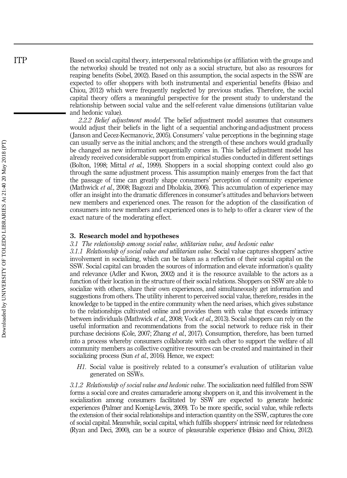Based on social capital theory, interpersonal relationships (or affiliation with the groups and the networks) should be treated not only as a social structure, but also as resources for reaping benefits (Sobel, 2002). Based on this assumption, the social aspects in the SSW are expected to offer shoppers with both instrumental and experiential benefits (Hsiao and Chiou, 2012) which were frequently neglected by previous studies. Therefore, the social capital theory offers a meaningful perspective for the present study to understand the relationship between social value and the self-referent value dimensions (utilitarian value and hedonic value).

2.2.2 Belief adjustment model. The belief adjustment model assumes that consumers would adjust their beliefs in the light of a sequential anchoring-and-adjustment process ( Janson and Cecez-Kecmanovic, 2005). Consumers' value perceptions in the beginning stage can usually serve as the initial anchors; and the strength of these anchors would gradually be changed as new information sequentially comes in. This belief adjustment model has already received considerable support from empirical studies conducted in different settings (Bolton, 1998; Mittal et al., 1999). Shoppers in a social shopping context could also go through the same adjustment process. This assumption mainly emerges from the fact that the passage of time can greatly shape consumers' perception of community experience (Mathwick et al., 2008; Bagozzi and Dholakia, 2006). This accumulation of experience may offer an insight into the dramatic differences in consumer's attitudes and behaviors between new members and experienced ones. The reason for the adoption of the classification of consumers into new members and experienced ones is to help to offer a clearer view of the exact nature of the moderating effect.

#### 3. Research model and hypotheses

#### 3.1 The relationship among social value, utilitarian value, and hedonic value

3.1.1 Relationship of social value and utilitarian value. Social value captures shoppers' active involvement in socializing, which can be taken as a reflection of their social capital on the SSW. Social capital can broaden the sources of information and elevate information's quality and relevance (Adler and Kwon, 2002) and it is the resource available to the actors as a function of their location in the structure of their social relations. Shoppers on SSW are able to socialize with others, share their own experiences, and simultaneously get information and suggestions from others. The utility inherent to perceived social value, therefore, resides in the knowledge to be tapped in the entire community when the need arises, which gives substance to the relationships cultivated online and provides them with value that exceeds intimacy between individuals (Mathwick et al., 2008; Vock et al., 2013). Social shoppers can rely on the useful information and recommendations from the social network to reduce risk in their purchase decisions (Cole, 2007; Zhang et al., 2017). Consumption, therefore, has been turned into a process whereby consumers collaborate with each other to support the welfare of all community members as collective cognitive resources can be created and maintained in their socializing process (Sun *et al.*, 2016). Hence, we expect:

H1. Social value is positively related to a consumer's evaluation of utilitarian value generated on SSWs.

3.1.2 Relationship of social value and hedonic value. The socialization need fulfilled from SSW forms a social core and creates camaraderie among shoppers on it, and this involvement in the socialization among consumers facilitated by SSW are expected to generate hedonic experiences (Palmer and Koenig-Lewis, 2009). To be more specific, social value, while reflects the extension of their social relationships and interaction quantity on the SSW, captures the core of social capital. Meanwhile, social capital, which fulfills shoppers' intrinsic need for relatedness (Ryan and Deci, 2000), can be a source of pleasurable experience (Hsiao and Chiou, 2012).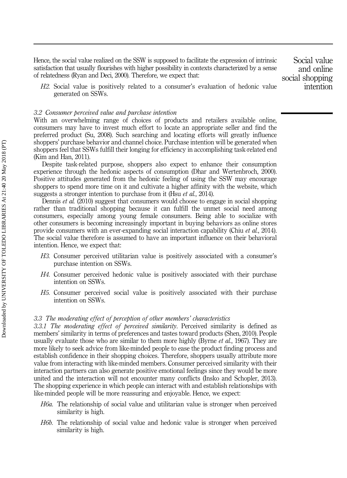Hence, the social value realized on the SSW is supposed to facilitate the expression of intrinsic satisfaction that usually flourishes with higher possibility in contexts characterized by a sense of relatedness (Ryan and Deci, 2000). Therefore, we expect that:

Social value and online social shopping intention

H2. Social value is positively related to a consumer's evaluation of hedonic value generated on SSWs.

#### 3.2 Consumer perceived value and purchase intention

With an overwhelming range of choices of products and retailers available online, consumers may have to invest much effort to locate an appropriate seller and find the preferred product (Su, 2008). Such searching and locating efforts will greatly influence shoppers' purchase behavior and channel choice. Purchase intention will be generated when shoppers feel that SSWs fulfill their longing for efficiency in accomplishing task-related end (Kim and Han, 2011).

Despite task-related purpose, shoppers also expect to enhance their consumption experience through the hedonic aspects of consumption (Dhar and Wertenbroch, 2000). Positive attitudes generated from the hedonic feeling of using the SSW may encourage shoppers to spend more time on it and cultivate a higher affinity with the website, which suggests a stronger intention to purchase from it (Hsu *et al.*, 2014).

Dennis et al. (2010) suggest that consumers would choose to engage in social shopping rather than traditional shopping because it can fulfill the unmet social need among consumers, especially among young female consumers. Being able to socialize with other consumers is becoming increasingly important in buying behaviors as online stores provide consumers with an ever-expanding social interaction capability (Chiu *et al.*, 2014). The social value therefore is assumed to have an important influence on their behavioral intention. Hence, we expect that:

- H3. Consumer perceived utilitarian value is positively associated with a consumer's purchase intention on SSWs.
- H4. Consumer perceived hedonic value is positively associated with their purchase intention on SSWs.
- H5. Consumer perceived social value is positively associated with their purchase intention on SSWs.

#### 3.3 The moderating effect of perception of other members' characteristics

3.3.1 The moderating effect of perceived similarity. Perceived similarity is defined as members' similarity in terms of preferences and tastes toward products (Shen, 2010). People usually evaluate those who are similar to them more highly (Byrne *et al.*, 1967). They are more likely to seek advice from like-minded people to ease the product finding process and establish confidence in their shopping choices. Therefore, shoppers usually attribute more value from interacting with like-minded members. Consumer perceived similarity with their interaction partners can also generate positive emotional feelings since they would be more united and the interaction will not encounter many conflicts (Insko and Schopler, 2013). The shopping experience in which people can interact with and establish relationships with like-minded people will be more reassuring and enjoyable. Hence, we expect:

- H6a. The relationship of social value and utilitarian value is stronger when perceived similarity is high.
- H6b. The relationship of social value and hedonic value is stronger when perceived similarity is high.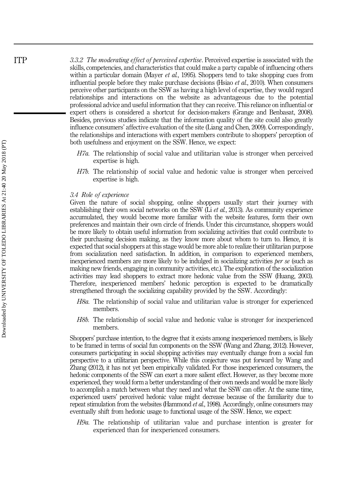3.3.2 The moderating effect of perceived expertise. Perceived expertise is associated with the skills, competencies, and characteristics that could make a party capable of influencing others within a particular domain (Mayer *et al.*, 1995). Shoppers tend to take shopping cues from influential people before they make purchase decisions (Hsiao *et al.*, 2010). When consumers perceive other participants on the SSW as having a high level of expertise, they would regard relationships and interactions on the website as advantageous due to the potential professional advice and useful information that they can receive. This reliance on influential or expert others is considered a shortcut for decision-makers (Grange and Benbasat, 2008). Besides, previous studies indicate that the information quality of the site could also greatly influence consumers' affective evaluation of the site (Liang and Chen, 2009). Correspondingly, the relationships and interactions with expert members contribute to shoppers' perception of both usefulness and enjoyment on the SSW. Hence, we expect:

- H7a. The relationship of social value and utilitarian value is stronger when perceived expertise is high.
- H7b. The relationship of social value and hedonic value is stronger when perceived expertise is high.

#### 3.4 Role of experience

Given the nature of social shopping, online shoppers usually start their journey with establishing their own social networks on the SSW (Li *et al.*, 2013). As community experience accumulated, they would become more familiar with the website features, form their own preferences and maintain their own circle of friends. Under this circumstance, shoppers would be more likely to obtain useful information from socializing activities that could contribute to their purchasing decision making, as they know more about whom to turn to. Hence, it is expected that social shoppers at this stage would be more able to realize their utilitarian purpose from socialization need satisfaction. In addition, in comparison to experienced members, inexperienced members are more likely to be indulged in socializing activities *per se* (such as making new friends, engaging in community activities, etc.). The exploration of the socialization activities may lead shoppers to extract more hedonic value from the SSW (Huang, 2003). Therefore, inexperienced members' hedonic perception is expected to be dramatically strengthened through the socializing capability provided by the SSW. Accordingly:

- H8a. The relationship of social value and utilitarian value is stronger for experienced members.
- H8b. The relationship of social value and hedonic value is stronger for inexperienced members.

Shoppers' purchase intention, to the degree that it exists among inexperienced members, is likely to be framed in terms of social fun components on the SSW (Wang and Zhang, 2012). However, consumers participating in social shopping activities may eventually change from a social fun perspective to a utilitarian perspective. While this conjecture was put forward by Wang and Zhang (2012), it has not yet been empirically validated. For those inexperienced consumers, the hedonic components of the SSW can exert a more salient effect. However, as they become more experienced, they would form a better understanding of their own needs and would be more likely to accomplish a match between what they need and what the SSW can offer. At the same time, experienced users' perceived hedonic value might decrease because of the familiarity due to repeat stimulation from the websites (Hammond et al., 1998). Accordingly, online consumers may eventually shift from hedonic usage to functional usage of the SSW. Hence, we expect:

H9a. The relationship of utilitarian value and purchase intention is greater for experienced than for inexperienced consumers.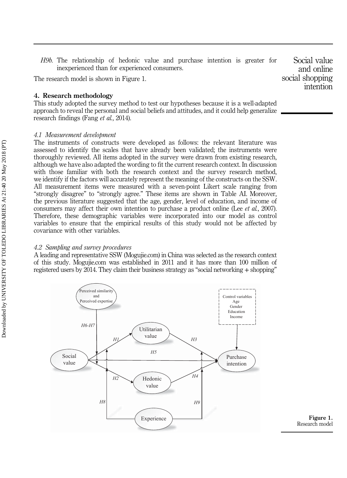H9b. The relationship of hedonic value and purchase intention is greater for inexperienced than for experienced consumers.

The research model is shown in Figure 1.

#### 4. Research methodology

This study adopted the survey method to test our hypotheses because it is a well-adapted approach to reveal the personal and social beliefs and attitudes, and it could help generalize research findings (Fang et al., 2014).

#### 4.1 Measurement development

The instruments of constructs were developed as follows: the relevant literature was assessed to identify the scales that have already been validated; the instruments were thoroughly reviewed. All items adopted in the survey were drawn from existing research, although we have also adapted the wording to fit the current research context. In discussion with those familiar with both the research context and the survey research method, we identify if the factors will accurately represent the meaning of the constructs on the SSW. All measurement items were measured with a seven-point Likert scale ranging from "strongly disagree" to "strongly agree." These items are shown in Table AI. Moreover, the previous literature suggested that the age, gender, level of education, and income of consumers may affect their own intention to purchase a product online (Lee *et al.*, 2007). Therefore, these demographic variables were incorporated into our model as control variables to ensure that the empirical results of this study would not be affected by covariance with other variables.

#### 4.2 Sampling and survey procedures

A leading and representative SSW (Mogujie.com) in China was selected as the research context of this study. Mogujie.com was established in 2011 and it has more than 100 million of registered users by 2014. They claim their business strategy as "social networking + shopping"



Research model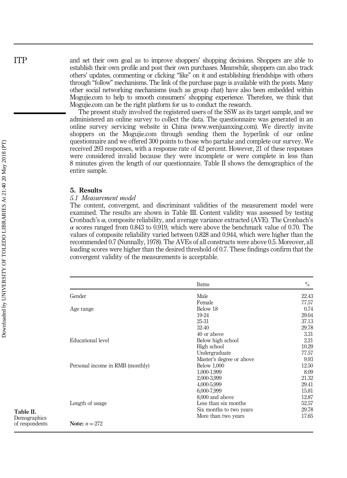and set their own goal as to improve shoppers' shopping decisions. Shoppers are able to establish their own profile and post their own purchases. Meanwhile, shoppers can also track others' updates, commenting or clicking "like" on it and establishing friendships with others through "follow" mechanisms. The link of the purchase page is available with the posts. Many other social networking mechanisms (such as group chat) have also been embedded within Mogujie.com to help to smooth consumers' shopping experience. Therefore, we think that Mogujie.com can be the right platform for us to conduct the research.

The present study involved the registered users of the SSW as its target sample, and we administered an online survey to collect the data. The questionnaire was generated in an online survey servicing website in China ([www.wenjuanxing.com\)](www.wenjuanxing.com). We directly invite shoppers on the Mogujie.com through sending them the hyperlink of our online questionnaire and we offered 300 points to those who partake and complete our survey. We received 293 responses, with a response rate of 42 percent. However, 21 of these responses were considered invalid because they were incomplete or were complete in less than 8 minutes given the length of our questionnaire. Table II shows the demographics of the entire sample.

#### 5. Results

#### 5.1 Measurement model

The content, convergent, and discriminant validities of the measurement model were examined. The results are shown in Table III. Content validity was assessed by testing Cronbach's  $\alpha$ , composite reliability, and average variance extracted (AVE). The Cronbach's  $\alpha$  scores ranged from 0.843 to 0.919, which were above the benchmark value of 0.70. The values of composite reliability varied between 0.828 and 0.944, which were higher than the recommended 0.7 (Nunnally, 1978). The AVEs of all constructs were above 0.5. Moreover, all loading scores were higher than the desired threshold of 0.7. These findings confirm that the convergent validity of the measurements is acceptable.

|                                  | Items                    | $\%$  |
|----------------------------------|--------------------------|-------|
| Gender                           | Male                     | 22.43 |
|                                  | Female                   | 77.57 |
| Age range                        | Below 18                 | 0.74  |
|                                  | 19-24                    | 29.04 |
|                                  | 25-31                    | 37.13 |
|                                  | 32-40                    | 29.78 |
|                                  | 40 or above              | 3.31  |
| Educational level                | Below high school        | 2.21  |
|                                  | High school              | 10.29 |
|                                  | Undergraduate            | 77.57 |
|                                  | Master's degree or above | 9.93  |
| Personal income in RMB (monthly) | <b>Below 1,000</b>       | 12.50 |
|                                  | 1,000-1,999              | 8.09  |
|                                  | 2,000-3,999              | 21.32 |
|                                  | 4,000-5,999              | 29.41 |
|                                  | 6,000-7,999              | 15.81 |
|                                  | 8,000 and above          | 12.87 |
| Length of usage                  | Less than six months     | 52.57 |
|                                  | Six months to two years  | 29.78 |
|                                  | More than two years      | 17.65 |
| Note: $n = 272$                  |                          |       |

Table II. Demographics of respondents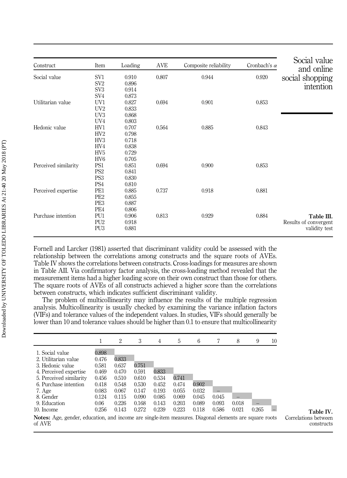| Construct            | Item            | Loading | AVE   | Composite reliability | Cronbach's $\alpha$ | Social value<br>and online |
|----------------------|-----------------|---------|-------|-----------------------|---------------------|----------------------------|
| Social value         | SV <sub>1</sub> | 0.910   | 0.807 | 0.944                 | 0.920               | social shopping            |
|                      | SV <sub>2</sub> | 0.896   |       |                       |                     |                            |
|                      | SV <sub>3</sub> | 0.914   |       |                       |                     | intention                  |
|                      | SV <sub>4</sub> | 0.873   |       |                       |                     |                            |
| Utilitarian value    | UV1             | 0.827   | 0.694 | 0.901                 | 0.853               |                            |
|                      | UV <sub>2</sub> | 0.833   |       |                       |                     |                            |
|                      | UV <sub>3</sub> | 0.868   |       |                       |                     |                            |
|                      | UV <sub>4</sub> | 0.803   |       |                       |                     |                            |
| Hedonic value        | HV1             | 0.707   | 0.564 | 0.885                 | 0.843               |                            |
|                      | HV2             | 0.798   |       |                       |                     |                            |
|                      | HV <sub>3</sub> | 0.718   |       |                       |                     |                            |
|                      | HV4             | 0.838   |       |                       |                     |                            |
|                      | HV <sub>5</sub> | 0.729   |       |                       |                     |                            |
|                      | HV <sub>6</sub> | 0.705   |       |                       |                     |                            |
| Perceived similarity | PS1             | 0.851   | 0.694 | 0.900                 | 0.853               |                            |
|                      | PS <sub>2</sub> | 0.841   |       |                       |                     |                            |
|                      | PS <sub>3</sub> | 0.830   |       |                       |                     |                            |
|                      | PS <sub>4</sub> | 0.810   |       |                       |                     |                            |
| Perceived expertise  | PE1             | 0.885   | 0.737 | 0.918                 | 0.881               |                            |
|                      | PE <sub>2</sub> | 0.855   |       |                       |                     |                            |
|                      | PE <sub>3</sub> | 0.887   |       |                       |                     |                            |
|                      | PE4             | 0.806   |       |                       |                     |                            |
| Purchase intention   | PU1             | 0.906   | 0.813 | 0.929                 | 0.884               | Table III.                 |
|                      | PU <sub>2</sub> | 0.918   |       |                       |                     | Results of convergent      |
|                      | PU <sub>3</sub> | 0.881   |       |                       |                     | validity test              |

Fornell and Larcker (1981) asserted that discriminant validity could be assessed with the relationship between the correlations among constructs and the square roots of AVEs. Table IV shows the correlations between constructs. Cross-loadings for measures are shown in Table AII. Via confirmatory factor analysis, the cross-loading method revealed that the measurement items had a higher loading score on their own construct than those for others. The square roots of AVEs of all constructs achieved a higher score than the correlations between constructs, which indicates sufficient discriminant validity.

The problem of multicollinearity may influence the results of the multiple regression analysis. Multicollinearity is usually checked by examining the variance inflation factors (VIFs) and tolerance values of the independent values. In studies, VIFs should generally be lower than 10 and tolerance values should be higher than 0.1 to ensure that multicollinearity

|                                                                                                                         |       | 2     | 3     | 4     | 5     | 6     |       | 8     | 9     | 10       |                     |
|-------------------------------------------------------------------------------------------------------------------------|-------|-------|-------|-------|-------|-------|-------|-------|-------|----------|---------------------|
| 1. Social value                                                                                                         | 0.898 |       |       |       |       |       |       |       |       |          |                     |
| 2. Utilitarian value                                                                                                    | 0.476 | 0.833 |       |       |       |       |       |       |       |          |                     |
| 3. Hedonic value                                                                                                        | 0.581 | 0.637 | 0.751 |       |       |       |       |       |       |          |                     |
| 4. Perceived expertise                                                                                                  | 0.469 | 0.470 | 0.591 | 0.833 |       |       |       |       |       |          |                     |
| 5. Perceived similarity                                                                                                 | 0.456 | 0.510 | 0.610 | 0.534 | 0.741 |       |       |       |       |          |                     |
| 6. Purchase intention                                                                                                   | 0.418 | 0.548 | 0.530 | 0.452 | 0.474 | 0.902 |       |       |       |          |                     |
| 7. Age                                                                                                                  | 0.083 | 0.067 | 0.147 | 0.193 | 0.055 | 0.032 |       |       |       |          |                     |
| 8. Gender                                                                                                               | 0.124 | 0.115 | 0.090 | 0.085 | 0.069 | 0.045 | 0.045 |       |       |          |                     |
| 9. Education                                                                                                            | 0.06  | 0.226 | 0.168 | 0.143 | 0.203 | 0.089 | 0.093 | 0.018 |       |          |                     |
| 10. Income                                                                                                              | 0.256 | 0.143 | 0.272 | 0.239 | 0.223 | 0.118 | 0.586 | 0.021 | 0.265 | $\equiv$ | Тa                  |
| <b>Notes:</b> Age, gender, education, and income are single-item measures. Diagonal elements are square roots<br>of AVE |       |       |       |       |       |       |       |       |       |          | Correlations<br>CO. |

able IV. between constructs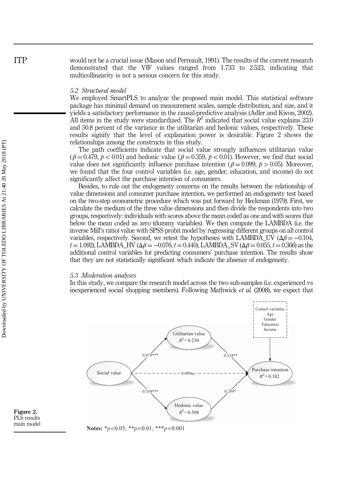would not be a crucial issue (Mason and Perreault, 1991). The results of the current research demonstrated that the VIF values ranged from 1.733 to 2.523, indicating that multicollinearity is not a serious concern for this study.

#### 5.2 Structural model

We employed SmartPLS to analyze the proposed main model. This statistical software package has minimal demand on measurement scales, sample distribution, and size, and it yields a satisfactory performance in the causal-predictive analysis (Adler and Kwon, 2002). All items in the study were standardized. The  $R^2$  indicated that social value explains 23.0 and 50.8 percent of the variance in the utilitarian and hedonic values, respectively. These results signify that the level of explanation power is desirable. Figure 2 shows the relationships among the constructs in this study.

The path coefficients indicate that social value strongly influences utilitarian value  $(\beta = 0.479, p < 0.01)$  and hedonic value  $(\beta = 0.359, p < 0.01)$ . However, we find that social value does not significantly influence purchase intention ( $\beta = 0.099$ ,  $p > 0.05$ ). Moreover, we found that the four control variables (i.e. age, gender, education, and income) do not significantly affect the purchase intention of consumers.

Besides, to rule out the endogeneity concerns on the results between the relationship of value dimensions and consumer purchase intention, we performed an endogeneity test based on the two-step econometric procedure which was put forward by Heckman (1979). First, we calculate the medium of the three value dimensions and then divide the respondents into two groups, respectively: individuals with scores above the mean coded as one and with scores that below the mean coded as zero (dummy variables). We then compute the LAMBDA (i.e. the inverse Mill's ratio) value with SPSS probit model by regressing different groups on all control variables, respectively. Second, we retest the hypotheses with LAMBDA UV ( $\Delta \beta = -0.104$ ,  $t = 1.092$ ), LAMBDA\_HV ( $\Delta \beta = -0.076$ ,  $t = 0.440$ ), LAMBDA\_SV ( $\Delta \beta = 0.055$ ,  $t = 0.366$ ) as the additional control variables for predicting consumers' purchase intention. The results show that they are not statistically significant which indicate the absence of endogeneity.

#### 5.3 Moderation analyses

In this study, we compare the research model across the two sub-samples (i.e. experienced vs inexperienced social shopping members). Following Mathwick et al. (2008), we expect that





**Notes:** \**p*<0.05; \*\**p*<0.01; \*\*\**p*<0.001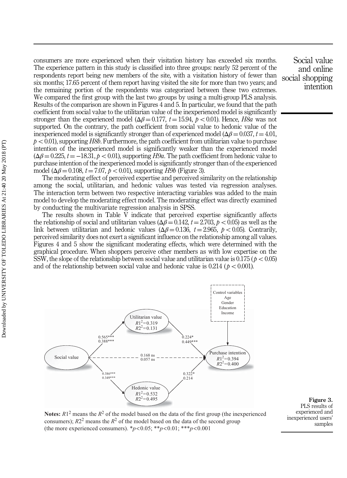consumers are more experienced when their visitation history has exceeded six months. The experience pattern in this study is classified into three groups: nearly 52 percent of the respondents report being new members of the site, with a visitation history of fewer than six months; 17.65 percent of them report having visited the site for more than two years; and the remaining portion of the respondents was categorized between these two extremes. We compared the first group with the last two groups by using a multi-group PLS analysis. Results of the comparison are shown in Figures 4 and 5. In particular, we found that the path coefficient from social value to the utilitarian value of the inexperienced model is significantly stronger than the experienced model  $(\Delta \beta = 0.177, t = 15.94, p < 0.01)$ . Hence, H8a was not supported. On the contrary, the path coefficient from social value to hedonic value of the inexperienced model is significantly stronger than of experienced model  $(\Delta \beta = 0.037, t = 4.01,$  $p < 0.01$ , supporting H8b. Furthermore, the path coefficient from utilitarian value to purchase intention of the inexperienced model is significantly weaker than the experienced model  $(\Delta \beta = 0.225, t = -18.31, \rho < 0.01)$ , supporting H9a. The path coefficient from hedonic value to purchase intention of the inexperienced model is significantly stronger than of the experienced model ( $\Delta \beta = 0.108$ ,  $t = 7.07$ ,  $p < 0.01$ ), supporting H9b (Figure 3).

The moderating effect of perceived expertise and perceived similarity on the relationship among the social, utilitarian, and hedonic values was tested via regression analyses. The interaction term between two respective interacting variables was added to the main model to develop the moderating effect model. The moderating effect was directly examined by conducting the multivariate regression analysis in SPSS.

The results shown in Table V indicate that perceived expertise significantly affects the relationship of social and utilitarian values  $(\Delta \beta = 0.142, t = 2.703, p < 0.05)$  as well as the link between utilitarian and hedonic values  $(\Delta \beta = 0.136, t = 2.965, p < 0.05)$ . Contrarily, perceived similarity does not exert a significant influence on the relationship among all values. Figures 4 and 5 show the significant moderating effects, which were determined with the graphical procedure. When shoppers perceive other members as with low expertise on the SSW, the slope of the relationship between social value and utilitarian value is  $0.175$  ( $p < 0.05$ ) and of the relationship between social value and hedonic value is  $0.214$  ( $p < 0.001$ ).



**Notes:**  $R1^2$  means the  $R^2$  of the model based on the data of the first group (the inexperienced consumers);  $R2^2$  means the  $R^2$  of the model based on the data of the second group (the more experienced consumers).  $*_{p}$  < 0.05;  $*_{p}$  < 0.01;  $*_{p}$  < 0.001

PLS results of experienced and inexperienced users' samples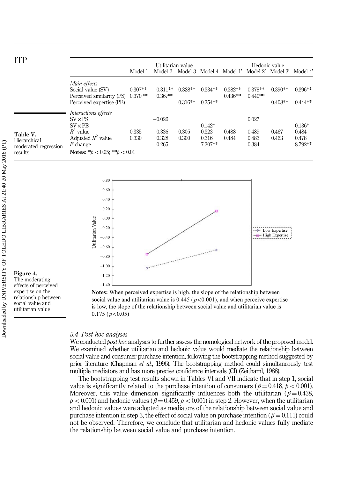| <b>ITP</b>                                       |                                                                 | Model 1                 | Utilitarian value<br>Model 2 |                |                           | Model 3 Model 4 Model 1' Model 2' Model 3' |                         | Hedonic value  | Model 4'                  |
|--------------------------------------------------|-----------------------------------------------------------------|-------------------------|------------------------------|----------------|---------------------------|--------------------------------------------|-------------------------|----------------|---------------------------|
|                                                  | Main effects<br>Social value (SV)<br>Perceived similarity (PS)  | $0.307**$<br>$0.370$ ** | $0.311**$<br>$0.367**$       | $0.328**$      | $0.334**$                 | $0.382**$<br>$0.436**$                     | $0.378**$<br>$0.440**$  | $0.390**$      | $0.396**$                 |
|                                                  | Perceived expertise (PE)                                        |                         |                              | $0.316**$      | $0.354**$                 |                                            |                         | $0.408**$      | $0.444**$                 |
|                                                  | <i>Interactions effects</i><br>$SV \times PS$<br>$SV \times PE$ |                         | $-0.026$                     |                | $0.142*$                  |                                            | 0.027                   |                | $0.136*$                  |
| Table V.<br>Hierarchical<br>moderated regression | $R^2$ value<br>Adjusted $R^2$ value<br><i>F</i> change          | 0.335<br>0.330          | 0.336<br>0.328<br>0.265      | 0.305<br>0.300 | 0.323<br>0.316<br>7.307** | 0.488<br>0.484                             | 0.489<br>0.483<br>0.384 | 0.467<br>0.463 | 0.484<br>0.478<br>8.792** |
| results                                          | Notes: * $b < 0.05$ : ** $b < 0.01$                             |                         |                              |                |                           |                                            |                         |                |                           |



**Notes:** When perceived expertise is high, the slope of the relationship between social value and utilitarian value is  $0.445$  ( $p < 0.001$ ), and when perceive expertise is low, the slope of the relationship between social value and utilitarian value is 0.175 (*p*<0.05)

#### 5.4 Post hoc analyses

We conducted *post hoc* analyses to further assess the nomological network of the proposed model. We examined whether utilitarian and hedonic value would mediate the relationship between social value and consumer purchase intention, following the bootstrapping method suggested by prior literature (Chapman et al., 1996). The bootstrapping method could simultaneously test multiple mediators and has more precise confidence intervals (CI) (Zeithaml, 1988).

The bootstrapping test results shown in Tables VI and VII indicate that in step 1, social value is significantly related to the purchase intention of consumers ( $\beta = 0.418$ ,  $p < 0.001$ ). Moreover, this value dimension significantly influences both the utilitarian ( $\beta = 0.438$ ,  $p < 0.001$ ) and hedonic values ( $\beta = 0.459$ ,  $p < 0.001$ ) in step 2. However, when the utilitarian and hedonic values were adopted as mediators of the relationship between social value and purchase intention in step 3, the effect of social value on purchase intention ( $\beta = 0.111$ ) could not be observed. Therefore, we conclude that utilitarian and hedonic values fully mediate the relationship between social value and purchase intention.

Figure 4. The moderating effects of perceived expertise on the relationship between social value and utilitarian value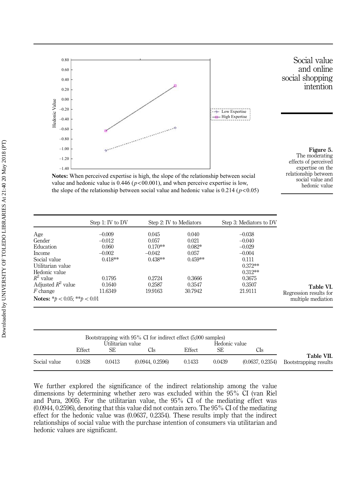

Social value and online social shopping intention

The moderating effects of perceived expertise on the relationship between social value and hedonic value

**Notes:** When perceived expertise is high, the slope of the relationship between social value and hedonic value is  $0.446$  ( $p < 00.001$ ), and when perceive expertise is low, the slope of the relationship between social value and hedonic value is  $0.214$  ( $p < 0.05$ )

|                                     | Step 1: IV to DV |           | Step 2: IV to Mediators | Step 3: Mediators to DV |                        |
|-------------------------------------|------------------|-----------|-------------------------|-------------------------|------------------------|
| Age                                 | $-0.009$         | 0.045     | 0.040                   | $-0.038$                |                        |
| Gender                              | $-0.012$         | 0.057     | 0.021                   | $-0.040$                |                        |
| Education                           | 0.060            | $0.170**$ | $0.082*$                | $-0.029$                |                        |
| Income                              | $-0.002$         | $-0.042$  | 0.057                   | $-0.004$                |                        |
| Social value                        | $0.418**$        | $0.438**$ | $0.459**$               | 0.111                   |                        |
| Utilitarian value                   |                  |           |                         | $0.372**$               |                        |
| Hedonic value                       |                  |           |                         | $0.312**$               |                        |
| $R^2$ value                         | 0.1795           | 0.2724    | 0.3666                  | 0.3675                  |                        |
| Adjusted $R^2$ value                | 0.1640           | 0.2587    | 0.3547                  | 0.3507                  | Table VI.              |
| $F$ change                          | 11.6349          | 19.9163   | 30.7942                 | 21.9111                 | Regression results for |
| Notes: * $b < 0.05$ : ** $b < 0.01$ |                  |           |                         |                         | multiple mediation     |

|              | Effect | Utilitarian value<br>SE | ₿s               | Effect | Hedonic value<br>SЕ | CIs              |                                     |
|--------------|--------|-------------------------|------------------|--------|---------------------|------------------|-------------------------------------|
| Social value | 0.1628 | 0.0413                  | (0.0944, 0.2596) | 0.1433 | 0.0439              | (0.0637, 0.2354) | Table VII.<br>Bootstrapping results |

We further explored the significance of the indirect relationship among the value dimensions by determining whether zero was excluded within the 95% CI (van Riel and Pura, 2005). For the utilitarian value, the 95% CI of the mediating effect was (0.0944, 0.2596), denoting that this value did not contain zero. The 95% CI of the mediating effect for the hedonic value was (0.0637, 0.2354). These results imply that the indirect relationships of social value with the purchase intention of consumers via utilitarian and hedonic values are significant.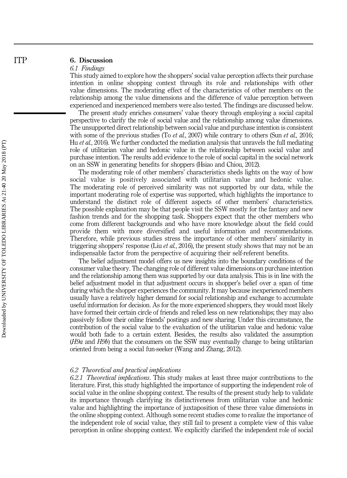#### 6. Discussion

#### 6.1 Findings

This study aimed to explore how the shoppers' social value perception affects their purchase intention in online shopping context through its role and relationships with other value dimensions. The moderating effect of the characteristics of other members on the relationship among the value dimensions and the difference of value perception between experienced and inexperienced members were also tested. The findings are discussed below.

The present study enriches consumers' value theory through employing a social capital perspective to clarify the role of social value and the relationship among value dimensions. The unsupported direct relationship between social value and purchase intention is consistent with some of the previous studies (To *et al.*, 2007) while contrary to others (Sun *et al.*, 2016; Hu *et al.*, 2016). We further conducted the mediation analysis that unravels the full mediating role of utilitarian value and hedonic value in the relationship between social value and purchase intention. The results add evidence to the role of social capital in the social network on an SSW in generating benefits for shoppers (Hsiao and Chiou, 2012).

The moderating role of other members' characteristics sheds lights on the way of how social value is positively associated with utilitarian value and hedonic value. The moderating role of perceived similarity was not supported by our data, while the important moderating role of expertise was supported, which highlights the importance to understand the distinct role of different aspects of other members' characteristics. The possible explanation may be that people visit the SSW mostly for the fantasy and new fashion trends and for the shopping task. Shoppers expect that the other members who come from different backgrounds and who have more knowledge about the field could provide them with more diversified and useful information and recommendations. Therefore, while previous studies stress the importance of other members' similarity in triggering shoppers' response (Liu *et al.*, 2016), the present study shows that may not be an indispensable factor from the perspective of acquiring their self-referent benefits.

The belief adjustment model offers us new insights into the boundary conditions of the consumer value theory. The changing role of different value dimensions on purchase intention and the relationship among them was supported by our data analysis. This is in line with the belief adjustment model in that adjustment occurs in shopper's belief over a span of time during which the shopper experiences the community. It may because inexperienced members usually have a relatively higher demand for social relationship and exchange to accumulate useful information for decision. As for the more experienced shoppers, they would most likely have formed their certain circle of friends and relied less on new relationships; they may also passively follow their online friends' postings and new sharing. Under this circumstance, the contribution of the social value to the evaluation of the utilitarian value and hedonic value would both fade to a certain extent. Besides, the results also validated the assumption (*H9a* and *H9b*) that the consumers on the SSW may eventually change to being utilitarian oriented from being a social fun-seeker (Wang and Zhang, 2012).

#### 6.2 Theoretical and practical implications

6.2.1 Theoretical implications. This study makes at least three major contributions to the literature. First, this study highlighted the importance of supporting the independent role of social value in the online shopping context. The results of the present study help to validate its importance through clarifying its distinctiveness from utilitarian value and hedonic value and highlighting the importance of juxtaposition of these three value dimensions in the online shopping context. Although some recent studies come to realize the importance of the independent role of social value, they still fail to present a complete view of this value perception in online shopping context. We explicitly clarified the independent role of social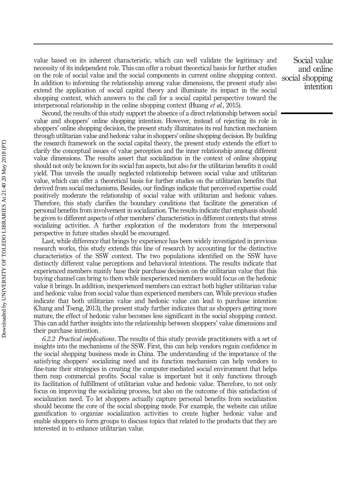value based on its inherent characteristic, which can well validate the legitimacy and necessity of its independent role. This can offer a robust theoretical basis for further studies on the role of social value and the social components in current online shopping context. In addition to informing the relationship among value dimensions, the present study also extend the application of social capital theory and illuminate its impact in the social shopping context, which answers to the call for a social capital perspective toward the interpersonal relationship in the online shopping context (Huang et al., 2015).

Second, the results of this study support the absence of a direct relationship between social value and shoppers' online shopping intention. However, instead of rejecting its role in shoppers' online shopping decision, the present study illuminates its real function mechanism through utilitarian value and hedonic value in shoppers' online shopping decision. By building the research framework on the social capital theory, the present study extends the effort to clarify the conceptual issues of value perception and the inner relationship among different value dimensions. The results assert that socialization in the context of online shopping should not only be known for its social fun aspects, but also for the utilitarian benefits it could yield. This unveils the usually neglected relationship between social value and utilitarian value, which can offer a theoretical basis for further studies on the utilitarian benefits that derived from social mechanisms. Besides, our findings indicate that perceived expertise could positively moderate the relationship of social value with utilitarian and hedonic values. Therefore, this study clarifies the boundary conditions that facilitate the generation of personal benefits from involvement in socialization. The results indicate that emphasis should be given to different aspects of other members' characteristics in different contexts that stress socializing activities. A further exploration of the moderators from the interpersonal perspective in future studies should be encouraged.

Last, while difference that brings by experience has been widely investigated in previous research works, this study extends this line of research by accounting for the distinctive characteristics of the SSW context. The two populations identified on the SSW have distinctly different value perceptions and behavioral intentions. The results indicate that experienced members mainly base their purchase decision on the utilitarian value that this buying channel can bring to them while inexperienced members would focus on the hedonic value it brings. In addition, inexperienced members can extract both higher utilitarian value and hedonic value from social value than experienced members can. While previous studies indicate that both utilitarian value and hedonic value can lead to purchase intention (Chang and Tseng, 2013), the present study further indicates that as shoppers getting more mature, the effect of hedonic value becomes less significant in the social shopping context. This can add further insights into the relationship between shoppers' value dimensions and their purchase intention.

6.2.2 Practical implications. The results of this study provide practitioners with a set of insights into the mechanisms of the SSW. First, this can help vendors regain confidence in the social shopping business mode in China. The understanding of the importance of the satisfying shoppers' socializing need and its function mechanism can help vendors to fine-tune their strategies in creating the computer-mediated social environment that helps them reap commercial profits. Social value is important but it only functions through its facilitation of fulfillment of utilitarian value and hedonic value. Therefore, to not only focus on improving the socializing process, but also on the outcome of this satisfaction of socialization need. To let shoppers actually capture personal benefits from socialization should become the core of the social shopping mode. For example, the website can utilize gamification to organize socialization activities to create higher hedonic value and enable shoppers to form groups to discuss topics that related to the products that they are interested in to enhance utilitarian value.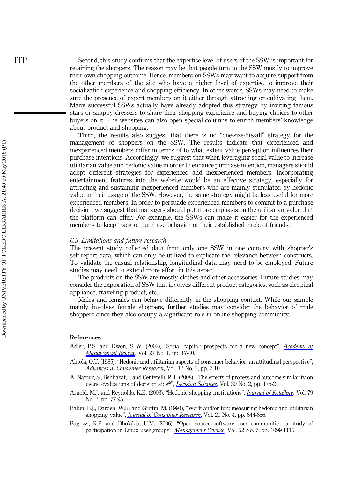Second, this study confirms that the expertise level of users of the SSW is important for retaining the shoppers. The reason may be that people turn to the SSW mostly to improve their own shopping outcome. Hence, members on SSWs may want to acquire support from the other members of the site who have a higher level of expertise to improve their socialization experience and shopping efficiency. In other words, SSWs may need to make sure the presence of expert members on it either through attracting or cultivating them. Many successful SSWs actually have already adopted this strategy by inviting famous stars or snappy dressers to share their shopping experience and buying choices to other buyers on it. The websites can also open special columns to enrich members' knowledge about product and shopping.

Third, the results also suggest that there is no "one-size-fits-all" strategy for the management of shoppers on the SSW. The results indicate that experienced and inexperienced members differ in terms of to what extent value perception influences their purchase intentions. Accordingly, we suggest that when leveraging social value to increase utilitarian value and hedonic value in order to enhance purchase intention, managers should adopt different strategies for experienced and inexperienced members. Incorporating entertainment features into the website would be an effective strategy, especially for attracting and sustaining inexperienced members who are mainly stimulated by hedonic value in their usage of the SSW. However, the same strategy might be less useful for more experienced members. In order to persuade experienced members to commit to a purchase decision, we suggest that managers should put more emphasis on the utilitarian value that the platform can offer. For example, the SSWs can make it easier for the experienced members to keep track of purchase behavior of their established circle of friends.

#### 6.3 Limitations and future research

The present study collected data from only one SSW in one country with shopper's self-report data, which can only be utilized to explicate the relevance between constructs. To validate the casual relationship, longitudinal data may need to be employed. Future studies may need to extend more effort in this aspect.

The products on the SSW are mostly clothes and other accessories. Future studies may consider the exploration of SSW that involves different product categories, such as electrical appliance, traveling product, etc.

Males and females can behave differently in the shopping context. While our sample mainly involves female shoppers, further studies may consider the behavior of male shoppers since they also occupy a significant role in online shopping community.

#### References

- Adler, P.S. and Kwon, S.-W. (2002), "Social capital: prospects for a new concept", [Academy of](https://www.emeraldinsight.com/action/showLinks?doi=10.1108%2FITP-10-2016-0236&crossref=10.5465%2Famr.2002.5922314&isi=000173232800005&citationId=p_6) [Management Review](https://www.emeraldinsight.com/action/showLinks?doi=10.1108%2FITP-10-2016-0236&crossref=10.5465%2Famr.2002.5922314&isi=000173232800005&citationId=p_6), Vol. 27 No. 1, pp. 17-40.
- Ahtola, O.T. (1985), "Hedonic and utilitarian aspects of consumer behavior: an attitudinal perspective", Advances in Consumer Research, Vol. 12 No. 1, pp. 7-10.
- Al-Natour, S., Benbasat, I. and Cenfetelli, R.T. (2008), "The effects of process and outcome similarity on users' evaluations of decision aids\*", *[Decision Sciences](https://www.emeraldinsight.com/action/showLinks?doi=10.1108%2FITP-10-2016-0236&crossref=10.1111%2Fj.1540-5915.2008.00189.x&isi=000255752600003&citationId=p_8)*, Vol. 39 No. 2, pp. 175-211.
- Arnold, M.J. and Reynolds, K.E. (2003), "Hedonic shopping motivations", *[Journal of Retailing](https://www.emeraldinsight.com/action/showLinks?doi=10.1108%2FITP-10-2016-0236&crossref=10.1016%2FS0022-4359%2803%2900007-1&isi=000185041600002&citationId=p_9)*, Vol. 79 No. 2, pp. 77-95.
- Babin, B.J., Darden, W.R. and Griffin, M. (1994), "Work and/or fun: measuring hedonic and utilitarian shopping value", *[Journal of Consumer Research](https://www.emeraldinsight.com/action/showLinks?doi=10.1108%2FITP-10-2016-0236&crossref=10.1086%2F209376&isi=A1994NA77500011&citationId=p_10)*, Vol. 20 No. 4, pp. 644-656.
- Bagozzi, R.P. and Dholakia, U.M. (2006), "Open source software user communities: a study of participation in Linux user groups", [Management Science](https://www.emeraldinsight.com/action/showLinks?doi=10.1108%2FITP-10-2016-0236&crossref=10.1287%2Fmnsc.1060.0545&isi=000238691100010&citationId=p_11), Vol. 52 No. 7, pp. 1099-1115.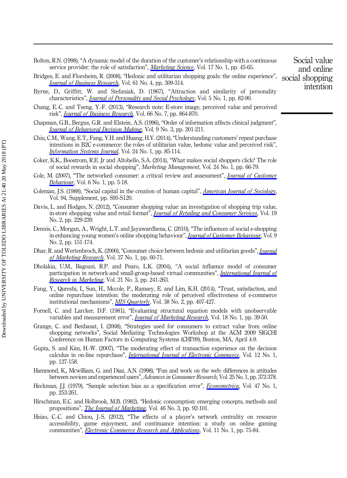- Bolton, R.N. (1998), "A dynamic model of the duration of the customer's relationship with a continuous service provider: the role of satisfaction", *[Marketing Science](https://www.emeraldinsight.com/action/showLinks?doi=10.1108%2FITP-10-2016-0236&crossref=10.1287%2Fmksc.17.1.45&isi=000073614000004&citationId=p_12)*, Vol. 17 No. 1, pp. 45-65.
- Bridges, E. and Florsheim, R. (2008), "Hedonic and utilitarian shopping goals: the online experience", [Journal of Business Research](https://www.emeraldinsight.com/action/showLinks?doi=10.1108%2FITP-10-2016-0236&crossref=10.1016%2Fj.jbusres.2007.06.017&isi=000254680700005&citationId=p_13), Vol. 61 No. 4, pp. 309-314.
- Byrne, D., Griffitt, W. and Stefaniak, D. (1967), "Attraction and similarity of personality characteristics", *[Journal of Personality and Social Psychology](https://www.emeraldinsight.com/action/showLinks?doi=10.1108%2FITP-10-2016-0236&crossref=10.1037%2Fh0021198&isi=A19679030800011&citationId=p_14)*, Vol. 5 No. 1, pp. 82-90.
- Chang, E.-C. and Tseng, Y.-F. (2013), "Research note: E-store image, perceived value and perceived risk", *[Journal of Business Research](https://www.emeraldinsight.com/action/showLinks?doi=10.1108%2FITP-10-2016-0236&crossref=10.1016%2Fj.jbusres.2011.06.012&isi=000319092200010&citationId=p_15)*, Vol. 66 No. 7, pp. 864-870.
- Chapman, G.B., Bergus, G.R. and Elstein, A.S. (1996), "Order of information affects clinical judgment", [Journal of Behavioral Decision Making](https://www.emeraldinsight.com/action/showLinks?doi=10.1108%2FITP-10-2016-0236&crossref=10.1002%2F%28SICI%291099-0771%28199609%299%3A3%3C201%3A%3AAID-BDM229%3E3.0.CO%3B2-J&isi=A1996UZ98700004&citationId=p_16), Vol. 9 No. 3, pp. 201-211.
- Chiu, C.M., Wang, E.T., Fang, Y.H. and Huang, H.Y. (2014), "Understanding customers' repeat purchase intentions in B2C e-commerce: the roles of utilitarian value, hedonic value and perceived risk", [Information Systems Journal](https://www.emeraldinsight.com/action/showLinks?doi=10.1108%2FITP-10-2016-0236&crossref=10.1111%2Fj.1365-2575.2012.00407.x&isi=000327995000005&citationId=p_17), Vol. 24 No. 1, pp. 85-114.
- Coker, K.K., Boostrom, R.E. Jr and Altobello, S.A. (2014), "What makes social shoppers click? The role of social rewards in social shopping", Marketing Management, Vol. 24 No. 1, pp. 66-79.
- Cole, M. (2007), "The networked consumer: a critical review and assessment", *[Journal of Customer](https://www.emeraldinsight.com/action/showLinks?doi=10.1108%2FITP-10-2016-0236&crossref=10.1362%2F147539207X198347&citationId=p_19)* [Behaviour](https://www.emeraldinsight.com/action/showLinks?doi=10.1108%2FITP-10-2016-0236&crossref=10.1362%2F147539207X198347&citationId=p_19), Vol. 6 No. 1, pp. 5-18.
- Coleman, J.S. (1988), "Social capital in the creation of human capital", *[American Journal of Sociology](https://www.emeraldinsight.com/action/showLinks?doi=10.1108%2FITP-10-2016-0236&crossref=10.1086%2F228943&isi=A1988P262400004&citationId=p_20)*, Vol. 94, Supplement, pp. S95-S120.
- Davis, L. and Hodges, N. (2012), "Consumer shopping value: an investigation of shopping trip value, in-store shopping value and retail format", *[Journal of Retailing and Consumer Services](https://www.emeraldinsight.com/action/showLinks?doi=10.1108%2FITP-10-2016-0236&crossref=10.1016%2Fj.jretconser.2012.01.004&citationId=p_21)*, Vol. 19 No. 2, pp. 229-239.
- Dennis, C., Morgan, A., Wright, L.T. and Jayawardhena, C. (2010), "The influences of social e-shopping in enhancing young women's online shopping behaviour", *[Journal of Customer Behaviour](https://www.emeraldinsight.com/action/showLinks?doi=10.1108%2FITP-10-2016-0236&crossref=10.1362%2F147539210X511353&citationId=p_22)*, Vol. 9 No. 2, pp. 151-174.
- Dhar, R. and Wertenbroch, K. (2000), "Consumer choice between hedonic and utilitarian goods", *[Journal](https://www.emeraldinsight.com/action/showLinks?doi=10.1108%2FITP-10-2016-0236&crossref=10.1509%2Fjmkr.37.1.60.18718&isi=000085436200005&citationId=p_23)* [of Marketing Research](https://www.emeraldinsight.com/action/showLinks?doi=10.1108%2FITP-10-2016-0236&crossref=10.1509%2Fjmkr.37.1.60.18718&isi=000085436200005&citationId=p_23), Vol. 37 No. 1, pp. 60-71.
- Dholakia, U.M., Bagozzi, R.P. and Pearo, L.K. (2004), "A social influence model of consumer participation in network-and small-group-based virtual communities", *[International Journal of](https://www.emeraldinsight.com/action/showLinks?doi=10.1108%2FITP-10-2016-0236&crossref=10.1016%2Fj.ijresmar.2003.12.004&isi=000224293100003&citationId=p_24)* [Research in Marketing](https://www.emeraldinsight.com/action/showLinks?doi=10.1108%2FITP-10-2016-0236&crossref=10.1016%2Fj.ijresmar.2003.12.004&isi=000224293100003&citationId=p_24), Vol. 21 No. 3, pp. 241-263.
- Fang, Y., Qureshi, I., Sun, H., Mccole, P., Ramsey, E. and Lim, K.H. (2014), "Trust, satisfaction, and online repurchase intention: the moderating role of perceived effectiveness of e-commerce institutional mechanisms", [MIS Quarterly](https://www.emeraldinsight.com/action/showLinks?doi=10.1108%2FITP-10-2016-0236&crossref=10.25300%2FMISQ%2F2014%2F38.2.04&isi=000344971000005&citationId=p_25), Vol. 38 No. 2, pp. 407-427.
- Fornell, C. and Larcker, D.F. (1981), "Evaluating structural equation models with unobservable variables and measurement error", *[Journal of Marketing Research](https://www.emeraldinsight.com/action/showLinks?doi=10.1108%2FITP-10-2016-0236&crossref=10.2307%2F3151312&isi=A1981LC54900004&citationId=p_26)*, Vol. 18 No. 1, pp. 39-50.
- Grange, C. and Benbasat, I. (2008), "Strategies used for consumers to extract value from online shopping networks", Social Mediating Technologies Workshop at the ACM 2009 SIGCHI Conference on Human Factors in Computing Systems (CHI'09), Boston, MA, April 4-9.
- Gupta, S. and Kim, H.-W. (2007), "The moderating effect of transaction experience on the decision calculus in on-line repurchase", *[International Journal of Electronic Commerce](https://www.emeraldinsight.com/action/showLinks?doi=10.1108%2FITP-10-2016-0236&crossref=10.2753%2FJEC1086-4415120105&isi=000250284600006&citationId=p_28)*, Vol. 12 No. 1, pp. 127-158.
- Hammond, K., Mcwilliam, G. and Diaz, A.N. (1998), "Fun and work on the web: differences in attitudes between novices and experienced users", Advances in Consumer Research, Vol. 25 No. 1, pp. 372-378.
- Heckman, J.J. (1979), "Sample selection bias as a specification error", *[Econometrica](https://www.emeraldinsight.com/action/showLinks?doi=10.1108%2FITP-10-2016-0236&crossref=10.2307%2F1912352&isi=A1979GH66400010&citationId=p_30)*, Vol. 47 No. 1, pp. 253-261.
- Hirschman, E.C. and Holbrook, M.B. (1982), "Hedonic consumption: emerging concepts, methods and propositions", *[The Journal of Marketing](https://www.emeraldinsight.com/action/showLinks?doi=10.1108%2FITP-10-2016-0236&crossref=10.2307%2F1251707&isi=A1982PE88100010&citationId=p_31)*, Vol. 46 No. 3, pp. 92-101.
- Hsiao, C.-C. and Chiou, J.-S. (2012), "The effects of a player's network centrality on resource accessibility, game enjoyment, and continuance intention: a study on online gaming communities", [Electronic Commerce Research and Applications](https://www.emeraldinsight.com/action/showLinks?doi=10.1108%2FITP-10-2016-0236&crossref=10.1016%2Fj.elerap.2011.10.001&isi=000300524400008&citationId=p_32), Vol. 11 No. 1, pp. 75-84.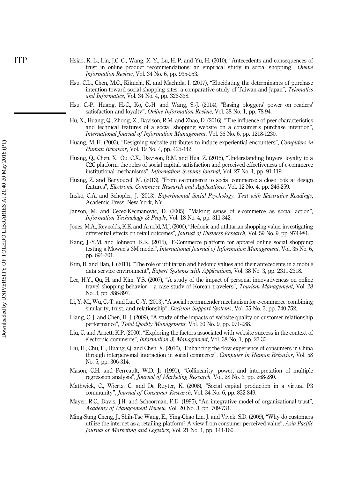- Hsiao, K.-L., Lin, J.C.-C., Wang, X.-Y., Lu, H.-P. and Yu, H. (2010), "Antecedents and consequences of trust in online product recommendations: an empirical study in social shopping", Online Information Review, Vol. 34 No. 6, pp. 935-953.
- Hsu, C.L., Chen, M.C., Kikuchi, K. and Machida, I. (2017), "Elucidating the determinants of purchase intention toward social shopping sites: a comparative study of Taiwan and Japan", Telematics and Informatics, Vol. 34 No. 4, pp. 326-338.
- Hsu, C.-P., Huang, H.-C., Ko, C.-H. and Wang, S.-J. (2014), "Basing bloggers' power on readers' satisfaction and loyalty", *Online Information Review*, Vol. 38 No. 1, pp. 78-94.
- Hu, X., Huang, Q., Zhong, X., Davison, R.M. and Zhao, D. (2016), "The influence of peer characteristics and technical features of a social shopping website on a consumer's purchase intention", International Journal of Information Management, Vol. 36 No. 6, pp. 1218-1230.
- Huang, M.-H. (2003), "Designing website attributes to induce experiential encounters", Computers in Human Behavior, Vol. 19 No. 4, pp. 425-442.
- Huang, Q., Chen, X., Ou, C.X., Davison, R.M. and Hua, Z. (2015), "Understanding buyers' loyalty to a C2C platform: the roles of social capital, satisfaction and perceived effectiveness of e-commerce institutional mechanisms", Information Systems Journal, Vol. 27 No. 1, pp. 91-119.
- Huang, Z. and Benyoucef, M. (2013), "From e-commerce to social commerce: a close look at design features", Electronic Commerce Research and Applications, Vol. 12 No. 4, pp. 246-259.
- Insko, C.A. and Schopler, J. (2013), Experimental Social Psychology: Text with Illustrative Readings, Academic Press, New York, NY.
- Janson, M. and Cecez-Kecmanovic, D. (2005), "Making sense of e-commerce as social action", Information Technology & People, Vol. 18 No. 4, pp. 311-342.
- Jones, M.A., Reynolds, K.E. and Arnold, M.J. (2006),"Hedonic and utilitarian shopping value: investigating differential effects on retail outcomes", Journal of Business Research, Vol. 59 No. 9, pp. 974-981.
- Kang, J.-Y.M. and Johnson, K.K. (2015), "F-Commerce platform for apparel online social shopping: testing a Mowen's 3M model", International Journal of Information Management, Vol. 35 No. 6, pp. 691-701.
- Kim, B. and Han, I. (2011), "The role of utilitarian and hedonic values and their antecedents in a mobile data service environment", Expert Systems with Applications, Vol. 38 No. 3, pp. 2311-2318.
- Lee, H.Y., Qu, H. and Kim, Y.S. (2007), "A study of the impact of personal innovativeness on online travel shopping behavior – a case study of Korean travelers", Tourism Management, Vol. 28 No. 3, pp. 886-897.
- Li, Y.-M., Wu, C.-T. and Lai, C.-Y. (2013), "A social recommender mechanism for e-commerce: combining similarity, trust, and relationship", *Decision Support Systems*, Vol. 55 No. 3, pp. 740-752.
- Liang, C.-J. and Chen, H.-J. (2009), "A study of the impacts of website quality on customer relationship performance", Total Quality Management, Vol. 20 No. 9, pp. 971-988.
- Liu, C. and Arnett, K.P. (2000), "Exploring the factors associated with website success in the context of electronic commerce", Information & Management, Vol. 38 No. 1, pp. 23-33.
- Liu, H., Chu, H., Huang, Q. and Chen, X. (2016), "Enhancing the flow experience of consumers in China through interpersonal interaction in social commerce", Computer in Human Behavior, Vol. 58 No. 5, pp. 306-314.
- Mason, C.H. and Perreault, W.D. Jr (1991), "Collinearity, power, and interpretation of multiple regression analysis", Journal of Marketing Research, Vol. 28 No. 3, pp. 268-280.
- Mathwick, C., Wiertz, C. and De Ruyter, K. (2008), "Social capital production in a virtual P3 community", Journal of Consumer Research, Vol. 34 No. 6, pp. 832-849.
- Mayer, R.C., Davis, J.H. and Schoorman, F.D. (1995), "An integrative model of organizational trust", Academy of Management Review, Vol. 20 No. 3, pp. 709-734.
- Ming-Sung Cheng, J., Shih-Tse Wang, E., Ying-Chao Lin, J. and Vivek, S.D. (2009), "Why do customers utilize the internet as a retailing platform? A view from consumer perceived value", Asia Pacific Journal of Marketing and Logistics, Vol. 21 No. 1, pp. 144-160.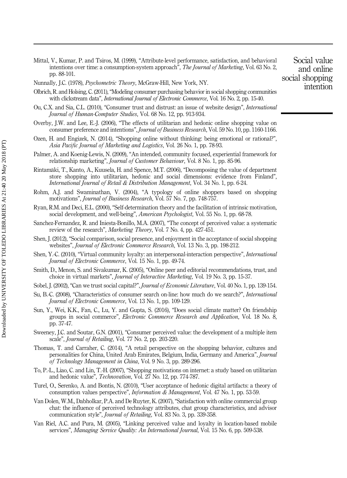Mittal, V., Kumar, P. and Tsiros, M. (1999), "Attribute-level performance, satisfaction, and behavioral intentions over time: a consumption-system approach", The Journal of Marketing, Vol. 63 No. 2, pp. 88-101.

Nunnally, J.C. (1978), Psychometric Theory, McGraw-Hill, New York, NY.

- Olbrich, R. and Holsing, C. (2011), "Modeling consumer purchasing behavior in social shopping communities with clickstream data", *International Journal of Electronic Commerce*, Vol. 16 No. 2, pp. 15-40.
- Ou, C.X. and Sia, C.L. (2010), "Consumer trust and distrust: an issue of website design", International Journal of Human-Computer Studies, Vol. 68 No. 12, pp. 913-934.
- Overby, J.W. and Lee, E.-J. (2006), "The effects of utilitarian and hedonic online shopping value on consumer preference and intentions", Journal of Business Research, Vol. 59 No. 10, pp. 1160-1166.
- Ozen, H. and Engizek, N. (2014), "Shopping online without thinking: being emotional or rational?", Asia Pacific Journal of Marketing and Logistics, Vol. 26 No. 1, pp. 78-93.
- Palmer, A. and Koenig-Lewis, N. (2009), "An intended, community focused, experiential framework for relationship marketing", Journal of Customer Behaviour, Vol. 8 No. 1, pp. 85-96.
- Rintamäki, T., Kanto, A., Kuusela, H. and Spence, M.T. (2006), "Decomposing the value of department store shopping into utilitarian, hedonic and social dimensions: evidence from Finland", International Journal of Retail & Distribution Management, Vol. 34 No. 1, pp. 6-24.
- Rohm, A.J. and Swaminathan, V. (2004), "A typology of online shoppers based on shopping motivations", Journal of Business Research, Vol. 57 No. 7, pp. 748-757.
- Ryan, R.M. and Deci, E.L. (2000), "Self-determination theory and the facilitation of intrinsic motivation, social development, and well-being", American Psychologist, Vol. 55 No. 1, pp. 68-78.
- Sanchez-Fernandez, R. and Iniesta-Bonillo, M.A. (2007), "The concept of perceived value: a systematic review of the research", Marketing Theory, Vol. 7 No. 4, pp. 427-451.
- Shen, J. (2012), "Social comparison, social presence, and enjoyment in the acceptance of social shopping websites", Journal of Electronic Commerce Research, Vol. 13 No. 3, pp. 198-212.
- Shen, Y.-C. (2010), "Virtual community loyalty: an interpersonal-interaction perspective", International Journal of Electronic Commerce, Vol. 15 No. 1, pp. 49-74.
- Smith, D., Menon, S. and Sivakumar, K. (2005), "Online peer and editorial recommendations, trust, and choice in virtual markets", Journal of Interactive Marketing, Vol. 19 No. 3, pp. 15-37.
- Sobel, J. (2002), "Can we trust social capital?", *Journal of Economic Literature*, Vol. 40 No. 1, pp. 139-154.
- Su, B.-C. (2008), "Characteristics of consumer search on-line: how much do we search?", *International* Journal of Electronic Commerce, Vol. 13 No. 1, pp. 109-129.
- Sun, Y., Wei, K.K., Fan, C., Lu, Y. and Gupta, S. (2016), "Does social climate matter? On friendship groups in social commerce", Electronic Commerce Research and Application, Vol. 18 No. 8, pp. 37-47.
- Sweeney, J.C. and Soutar, G.N. (2001), "Consumer perceived value: the development of a multiple item scale", Journal of Retailing, Vol. 77 No. 2, pp. 203-220.
- Thomas, T. and Carraher, C. (2014), "A retail perspective on the shopping behavior, cultures and personalities for China, United Arab Emirates, Belgium, India, Germany and America", Journal of Technology Management in China, Vol. 9 No. 3, pp. 289-296.
- To, P.-L., Liao, C. and Lin, T.-H. (2007), "Shopping motivations on internet: a study based on utilitarian and hedonic value", Technovation, Vol. 27 No. 12, pp. 774-787.
- Turel, O., Serenko, A. and Bontis, N. (2010), "User acceptance of hedonic digital artifacts: a theory of consumption values perspective", Information & Management, Vol. 47 No. 1, pp. 53-59.
- Van Dolen, W.M., Dabholkar, P.A. and De Ruyter, K. (2007), "Satisfaction with online commercial group chat: the influence of perceived technology attributes, chat group characteristics, and advisor communication style", Journal of Retailing, Vol. 83 No. 3, pp. 339-358.
- Van Riel, A.C. and Pura, M. (2005), "Linking perceived value and loyalty in location-based mobile services", Managing Service Quality: An International Journal, Vol. 15 No. 6, pp. 509-538.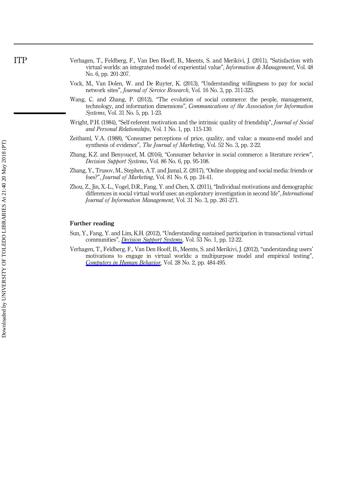- Verhagen, T., Feldberg, F., Van Den Hooff, B., Meents, S. and Merikivi, J. (2011), "Satisfaction with virtual worlds: an integrated model of experiential value", Information & Management, Vol. 48 No. 6, pp. 201-207.
- Vock, M., Van Dolen, W. and De Ruyter, K. (2013), "Understanding willingness to pay for social network sites", Journal of Service Research, Vol. 16 No. 3, pp. 311-325.
- Wang, C. and Zhang, P. (2012), "The evolution of social commerce: the people, management, technology, and information dimensions", Communications of the Association for Information Systems, Vol. 31 No. 5, pp. 1-23.
- Wright, P.H. (1984), "Self-referent motivation and the intrinsic quality of friendship", Journal of Social and Personal Relationships, Vol. 1 No. 1, pp. 115-130.
- Zeithaml, V.A. (1988), "Consumer perceptions of price, quality, and value: a means-end model and synthesis of evidence", The Journal of Marketing, Vol. 52 No. 3, pp. 2-22.
- Zhang, K.Z. and Benyoucef, M. (2016), "Consumer behavior in social commerce: a literature review", Decision Support Systems, Vol. 86 No. 6, pp. 95-108.
- Zhang, Y., Trusov, M., Stephen, A.T. and Jamal, Z. (2017), "Online shopping and social media: friends or foes?", Journal of Marketing, Vol. 81 No. 6, pp. 24-41.
- Zhou, Z., Jin, X.-L., Vogel, D.R., Fang, Y. and Chen, X. (2011), "Individual motivations and demographic differences in social virtual world uses: an exploratory investigation in second life", *International* Journal of Information Management, Vol. 31 No. 3, pp. 261-271.

#### Further reading

- Sun, Y., Fang, Y. and Lim, K.H. (2012), "Understanding sustained participation in transactional virtual communities", *[Decision Support Systems](https://www.emeraldinsight.com/action/showLinks?doi=10.1108%2FITP-10-2016-0236&crossref=10.1016%2Fj.dss.2011.10.006&isi=000302982300002&citationId=p_33)*, Vol. 53 No. 1, pp. 12-22.
- Verhagen, T., Feldberg, F., Van Den Hooff, B., Meents, S. and Merikivi, J. (2012), "understanding users' motivations to engage in virtual worlds: a multipurpose model and empirical testing", [Computers in Human Behavior](https://www.emeraldinsight.com/action/showLinks?doi=10.1108%2FITP-10-2016-0236&crossref=10.1016%2Fj.chb.2011.10.020&isi=000300028900025&citationId=p_34), Vol. 28 No. 2, pp. 484-495.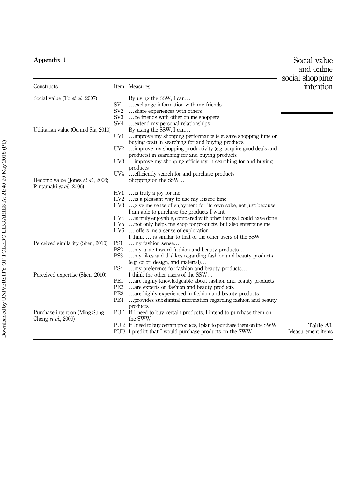#### Appendix 1

Social value and online social shopping

| Constructs                                                    |                                                       | Item Measures                                                                                                                                                                                                                    | $\sim$<br>intention            |
|---------------------------------------------------------------|-------------------------------------------------------|----------------------------------------------------------------------------------------------------------------------------------------------------------------------------------------------------------------------------------|--------------------------------|
| Social value (To et al., 2007)                                | SV1<br>SV <sub>3</sub>                                | By using the SSW, I can<br>exchange information with my friends<br>SV2 share experiences with others<br>be friends with other online shoppers                                                                                    |                                |
| Utilitarian value (Ou and Sia, 2010)                          | SV <sub>4</sub>                                       | extend my personal relationships<br>By using the SSW, I can<br>UV1  improve my shopping performance (e.g. save shopping time or                                                                                                  |                                |
|                                                               |                                                       | buying cost) in searching for and buying products<br>UV2  improve my shopping productivity (e.g. acquire good deals and<br>products) in searching for and buying products                                                        |                                |
|                                                               |                                                       | UV3  improve my shopping efficiency in searching for and buying<br>products                                                                                                                                                      |                                |
| Hedonic value (Jones et al., 2006;<br>Rintamäki et al., 2006) |                                                       | UV4  efficiently search for and purchase products<br>Shopping on the SSW                                                                                                                                                         |                                |
|                                                               |                                                       | HV1  is truly a joy for me<br>HV2  is a pleasant way to use my leisure time<br>HV3  give me sense of enjoyment for its own sake, not just because                                                                                |                                |
|                                                               |                                                       | I am able to purchase the products I want.<br>HV4  is truly enjoyable, compared with other things I could have done<br>HV5  not only helps me shop for products, but also entertains me<br>HV6  offers me a sense of exploration |                                |
| Perceived similarity (Shen, 2010)                             | PS <sub>1</sub><br>PS <sub>2</sub><br>PS <sub>3</sub> | I think  is similar to that of the other users of the SSW<br>my fashion sense<br>my taste toward fashion and beauty products<br>my likes and dislikes regarding fashion and beauty products.                                     |                                |
| Perceived expertise (Shen, 2010)                              | PS <sub>4</sub><br>PE1                                | $(e.g. color, design, and material) \dots$<br>my preference for fashion and beauty products<br>I think the other users of the SSW<br>are highly knowledgeable about fashion and beauty products                                  |                                |
|                                                               | PE <sub>2</sub><br>PE <sub>3</sub><br>PE4             | are experts on fashion and beauty products<br>are highly experienced in fashion and beauty products<br>provides substantial information regarding fashion and beauty                                                             |                                |
| Purchase intention (Ming-Sung)<br>Cheng et al., 2009)         |                                                       | products<br>PUI1 If I need to buy certain products, I intend to purchase them on<br>the SWW                                                                                                                                      |                                |
|                                                               |                                                       | PUI2 If I need to buy certain products, I plan to purchase them on the SWW<br>PUI3 I predict that I would purchase products on the SWW                                                                                           | Table AI.<br>Measurement items |